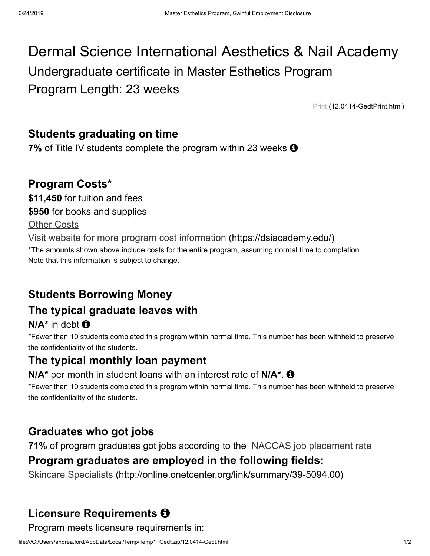# Dermal Science International Aesthetics & Nail Academy Undergraduate certificate in Master Esthetics Program Program Length: 23 weeks

[Print \(12.0414-GedtPrint.html\)](file:///C:/Users/andrea.ford/AppData/Local/Temp/Temp1_Gedt.zip/12.0414-GedtPrint.html)

### **Students graduating on time**

**7%** of Title IV students complete the program within 23 weeks  $\Theta$ 

### **Program Costs\***

**\$11,450** for tuition and fees

**\$950** for books and supplies

Other Costs

[Visit website for more program cost information \(https://dsiacademy.edu/\)](https://dsiacademy.edu/)

\*The amounts shown above include costs for the entire program, assuming normal time to completion. Note that this information is subject to change.

# **Students Borrowing Money**

# **The typical graduate leaves with**

**N/A\*** in debt

\*Fewer than 10 students completed this program within normal time. This number has been withheld to preserve the confidentiality of the students.

### **The typical monthly loan payment**

#### **N/A\*** per month in student loans with an interest rate of **N/A\***.

\*Fewer than 10 students completed this program within normal time. This number has been withheld to preserve the confidentiality of the students.

# **Graduates who got jobs**

**71%** of program graduates got jobs according to the NACCAS job placement rate

### **Program graduates are employed in the following fields:**

[Skincare Specialists \(http://online.onetcenter.org/link/summary/39-5094.00\)](http://online.onetcenter.org/link/summary/39-5094.00)

# **Licensure Requirements**

Program meets licensure requirements in: